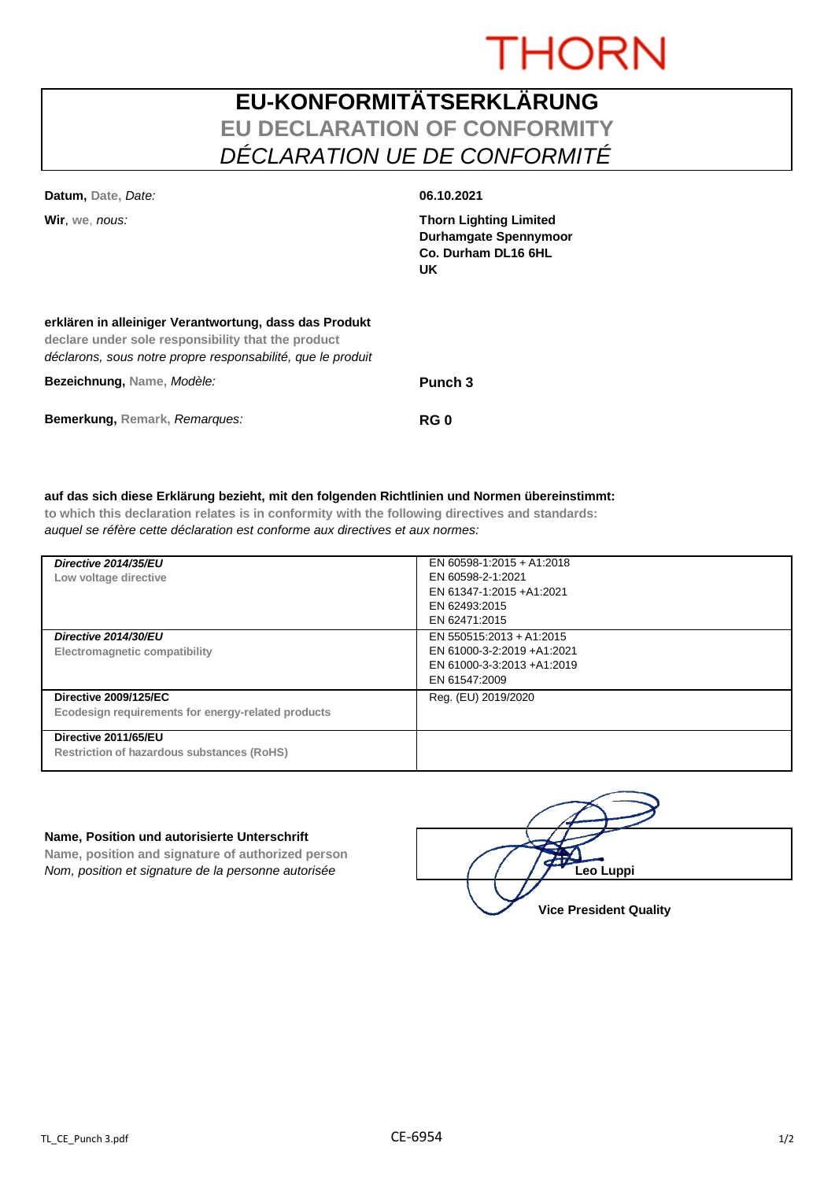# **THORN**

### **EU-KONFORMITÄTSERKLÄRUNG EU DECLARATION OF CONFORMITY** *DÉCLARATION UE DE CONFORMITÉ*

| Datum, Date, Date:                                                                                                                                                          | 06.10.2021                                                                                        |
|-----------------------------------------------------------------------------------------------------------------------------------------------------------------------------|---------------------------------------------------------------------------------------------------|
| Wir, we, nous:                                                                                                                                                              | <b>Thorn Lighting Limited</b><br><b>Durhamgate Spennymoor</b><br>Co. Durham DL16 6HL<br><b>UK</b> |
| erklären in alleiniger Verantwortung, dass das Produkt<br>declare under sole responsibility that the product<br>déclarons, sous notre propre responsabilité, que le produit |                                                                                                   |
| Bezeichnung, Name, Modèle:                                                                                                                                                  | Punch 3                                                                                           |

**Bemerkung, Remark,** *Remarques:* **RG 0**

#### **auf das sich diese Erklärung bezieht, mit den folgenden Richtlinien und Normen übereinstimmt:**

**to which this declaration relates is in conformity with the following directives and standards:** *auquel se réfère cette déclaration est conforme aux directives et aux normes:*

| Directive 2014/35/EU<br>Low voltage directive                                      | EN 60598-1:2015 + A1:2018<br>EN 60598-2-1:2021<br>EN 61347-1:2015 +A1:2021<br>EN 62493:2015<br>EN 62471:2015 |
|------------------------------------------------------------------------------------|--------------------------------------------------------------------------------------------------------------|
| Directive 2014/30/EU<br>Electromagnetic compatibility                              | EN 550515:2013 + A1:2015<br>EN 61000-3-2:2019 +A1:2021<br>EN 61000-3-3:2013 +A1:2019<br>EN 61547:2009        |
| <b>Directive 2009/125/EC</b><br>Ecodesign requirements for energy-related products | Reg. (EU) 2019/2020                                                                                          |
| Directive 2011/65/EU<br><b>Restriction of hazardous substances (RoHS)</b>          |                                                                                                              |

#### **Name, Position und autorisierte Unterschrift**

**Name, position and signature of authorized person** *Nom, position et signature de la personne autorisée* 

| Leo Luppi                     |
|-------------------------------|
| <b>Vice President Quality</b> |